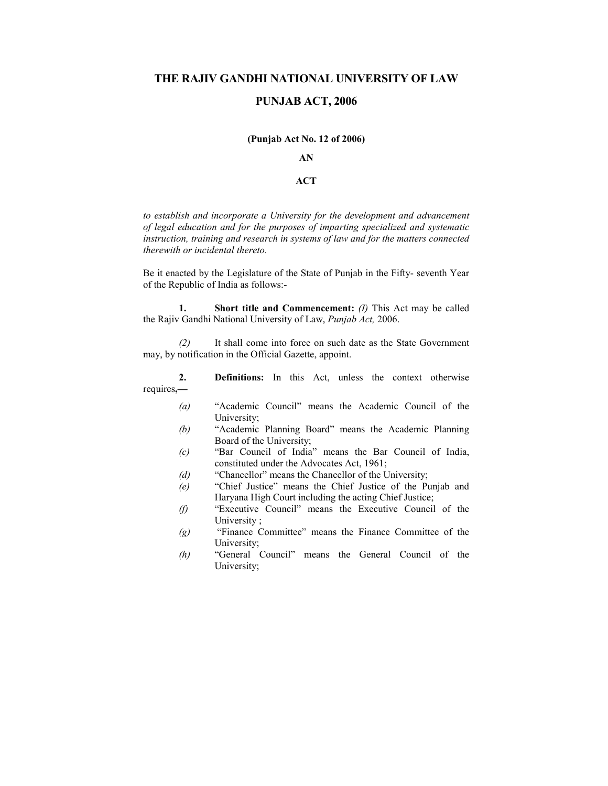# **THE RAJIV GANDHI NATIONAL UNIVERSITY OF LAW**

# **PUNJAB ACT, 2006**

#### **(Punjab Act No. 12 of 2006)**

# **AN**

## **ACT**

*to establish and incorporate a University for the development and advancement of legal education and for the purposes of imparting specialized and systematic instruction, training and research in systems of law and for the matters connected therewith or incidental thereto.*

Be it enacted by the Legislature of the State of Punjab in the Fifty- seventh Year of the Republic of India as follows:-

 **1. Short title and Commencement:** *(I)* This Act may be called the Rajiv Gandhi National University of Law, *Punjab Act,* 2006.

 *(2)* It shall come into force on such date as the State Government may, by notification in the Official Gazette, appoint.

 **2. Definitions:** In this Act, unless the context otherwise requires**,—**

- *(a)* "Academic Council" means the Academic Council of the University;
- *(b)* "Academic Planning Board" means the Academic Planning Board of the University;
- *(c)* "Bar Council of India" means the Bar Council of India, constituted under the Advocates Act, 1961;
- *(d)* "Chancellor" means the Chancellor of the University;
- *(e)* "Chief Justice" means the Chief Justice of the Punjab and Haryana High Court including the acting Chief Justice;
- *(f)* "Executive Council" means the Executive Council of the University ;
- *(g)* "Finance Committee" means the Finance Committee of the University;
- *(h)* "General Council" means the General Council of the University;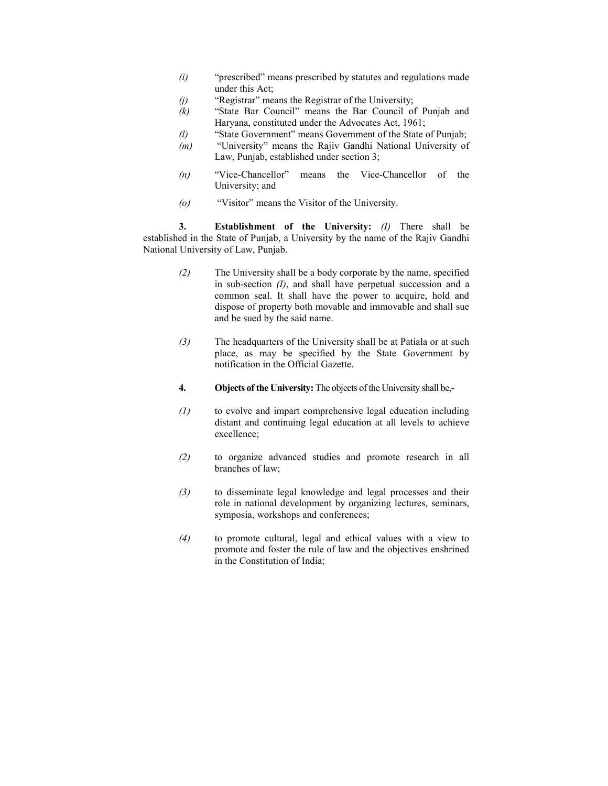- *(i)* "prescribed" means prescribed by statutes and regulations made under this Act;
- *(j)* "Registrar" means the Registrar of the University;
- *(k)* "State Bar Council" means the Bar Council of Punjab and Haryana, constituted under the Advocates Act, 1961;
- *(l)* "State Government" means Government of the State of Punjab;
- *(m)* "University" means the Rajiv Gandhi National University of Law, Punjab, established under section 3;
- *(n)* "Vice-Chancellor" means the Vice-Chancellor of the University; and
- *(o)* "Visitor" means the Visitor of the University.

 **3. Establishment of the University:** *(I)* There shall be established in the State of Punjab, a University by the name of the Rajiv Gandhi National University of Law, Punjab.

- *(2)* The University shall be a body corporate by the name, specified in sub-section *(I)*, and shall have perpetual succession and a common seal. It shall have the power to acquire, hold and dispose of property both movable and immovable and shall sue and be sued by the said name.
- *(3)* The headquarters of the University shall be at Patiala or at such place, as may be specified by the State Government by notification in the Official Gazette.
- **4. Objects of the University:** The objects of the University shall be,-
- *(1)* to evolve and impart comprehensive legal education including distant and continuing legal education at all levels to achieve excellence;
- *(2)* to organize advanced studies and promote research in all branches of law;
- *(3)* to disseminate legal knowledge and legal processes and their role in national development by organizing lectures, seminars, symposia, workshops and conferences;
- *(4)* to promote cultural, legal and ethical values with a view to promote and foster the rule of law and the objectives enshrined in the Constitution of India;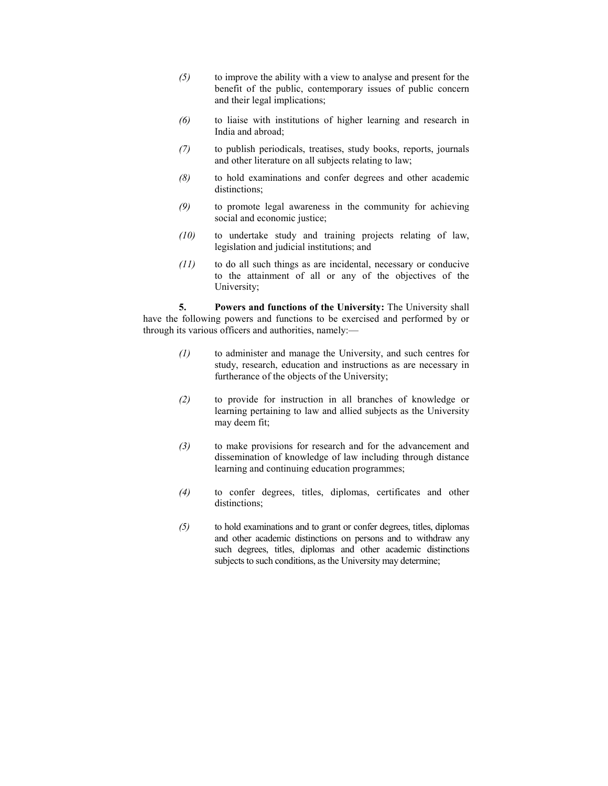- *(5)* to improve the ability with a view to analyse and present for the benefit of the public, contemporary issues of public concern and their legal implications;
- *(6)* to liaise with institutions of higher learning and research in India and abroad;
- *(7)* to publish periodicals, treatises, study books, reports, journals and other literature on all subjects relating to law;
- *(8)* to hold examinations and confer degrees and other academic distinctions;
- *(9)* to promote legal awareness in the community for achieving social and economic justice;
- *(10)* to undertake study and training projects relating of law, legislation and judicial institutions; and
- *(11)* to do all such things as are incidental, necessary or conducive to the attainment of all or any of the objectives of the University;

 **5. Powers and functions of the University:** The University shall have the following powers and functions to be exercised and performed by or through its various officers and authorities, namely:—

- *(1)* to administer and manage the University, and such centres for study, research, education and instructions as are necessary in furtherance of the objects of the University;
- *(2)* to provide for instruction in all branches of knowledge or learning pertaining to law and allied subjects as the University may deem fit;
- *(3)* to make provisions for research and for the advancement and dissemination of knowledge of law including through distance learning and continuing education programmes;
- *(4)* to confer degrees, titles, diplomas, certificates and other distinctions;
- *(5)* to hold examinations and to grant or confer degrees, titles, diplomas and other academic distinctions on persons and to withdraw any such degrees, titles, diplomas and other academic distinctions subjects to such conditions, as the University may determine;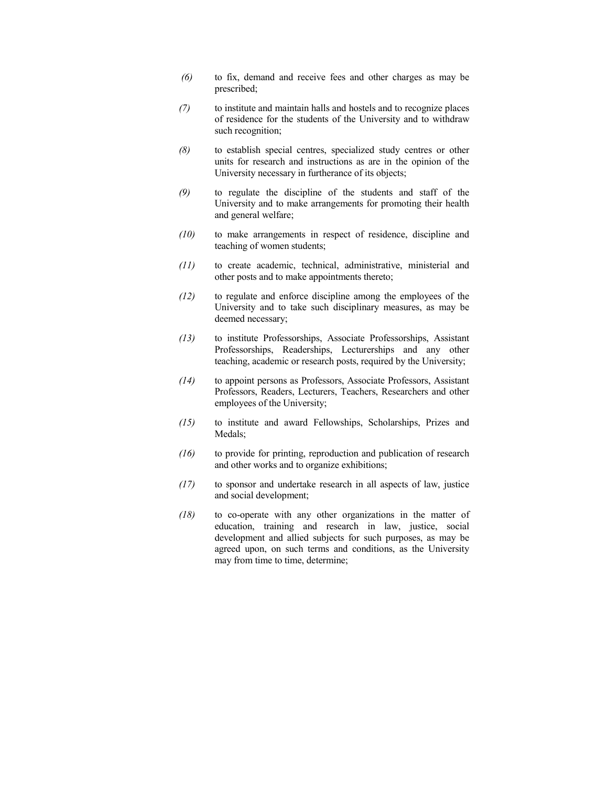- *(6)* to fix, demand and receive fees and other charges as may be prescribed;
- *(7)* to institute and maintain halls and hostels and to recognize places of residence for the students of the University and to withdraw such recognition;
- *(8)* to establish special centres, specialized study centres or other units for research and instructions as are in the opinion of the University necessary in furtherance of its objects;
- *(9)* to regulate the discipline of the students and staff of the University and to make arrangements for promoting their health and general welfare;
- *(10)* to make arrangements in respect of residence, discipline and teaching of women students;
- *(11)* to create academic, technical, administrative, ministerial and other posts and to make appointments thereto;
- *(12)* to regulate and enforce discipline among the employees of the University and to take such disciplinary measures, as may be deemed necessary;
- *(13)* to institute Professorships, Associate Professorships, Assistant Professorships, Readerships, Lecturerships and any other teaching, academic or research posts, required by the University;
- *(14)* to appoint persons as Professors, Associate Professors, Assistant Professors, Readers, Lecturers, Teachers, Researchers and other employees of the University;
- *(15)* to institute and award Fellowships, Scholarships, Prizes and Medals;
- *(16)* to provide for printing, reproduction and publication of research and other works and to organize exhibitions;
- *(17)* to sponsor and undertake research in all aspects of law, justice and social development;
- *(18)* to co-operate with any other organizations in the matter of education, training and research in law, justice, social development and allied subjects for such purposes, as may be agreed upon, on such terms and conditions, as the University may from time to time, determine;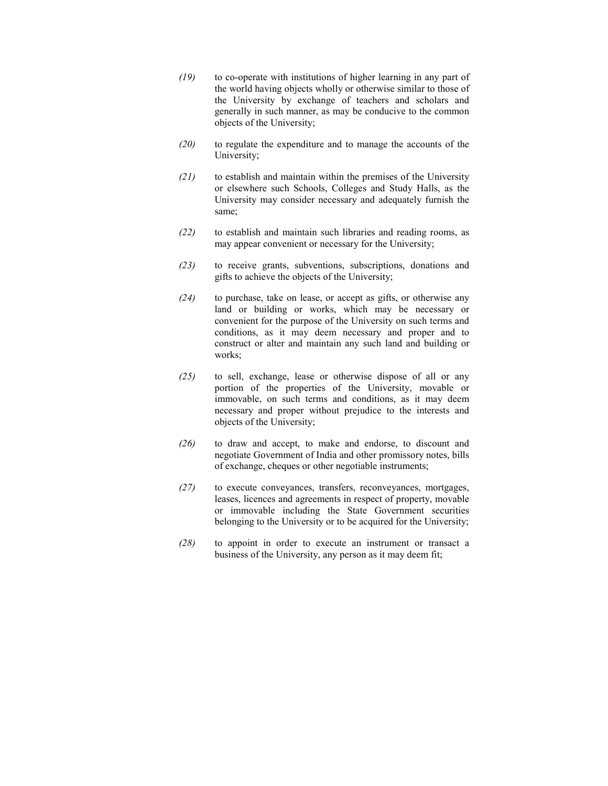- *(19)* to co-operate with institutions of higher learning in any part of the world having objects wholly or otherwise similar to those of the University by exchange of teachers and scholars and generally in such manner, as may be conducive to the common objects of the University;
- *(20)* to regulate the expenditure and to manage the accounts of the University;
- *(21)* to establish and maintain within the premises of the University or elsewhere such Schools, Colleges and Study Halls, as the University may consider necessary and adequately furnish the same;
- *(22)* to establish and maintain such libraries and reading rooms, as may appear convenient or necessary for the University;
- *(23)* to receive grants, subventions, subscriptions, donations and gifts to achieve the objects of the University;
- *(24)* to purchase, take on lease, or accept as gifts, or otherwise any land or building or works, which may be necessary or convenient for the purpose of the University on such terms and conditions, as it may deem necessary and proper and to construct or alter and maintain any such land and building or works;
- *(25)* to sell, exchange, lease or otherwise dispose of all or any portion of the properties of the University, movable or immovable, on such terms and conditions, as it may deem necessary and proper without prejudice to the interests and objects of the University;
- *(26)* to draw and accept, to make and endorse, to discount and negotiate Government of India and other promissory notes, bills of exchange, cheques or other negotiable instruments;
- *(27)* to execute conveyances, transfers, reconveyances, mortgages, leases, licences and agreements in respect of property, movable or immovable including the State Government securities belonging to the University or to be acquired for the University;
- *(28)* to appoint in order to execute an instrument or transact a business of the University, any person as it may deem fit;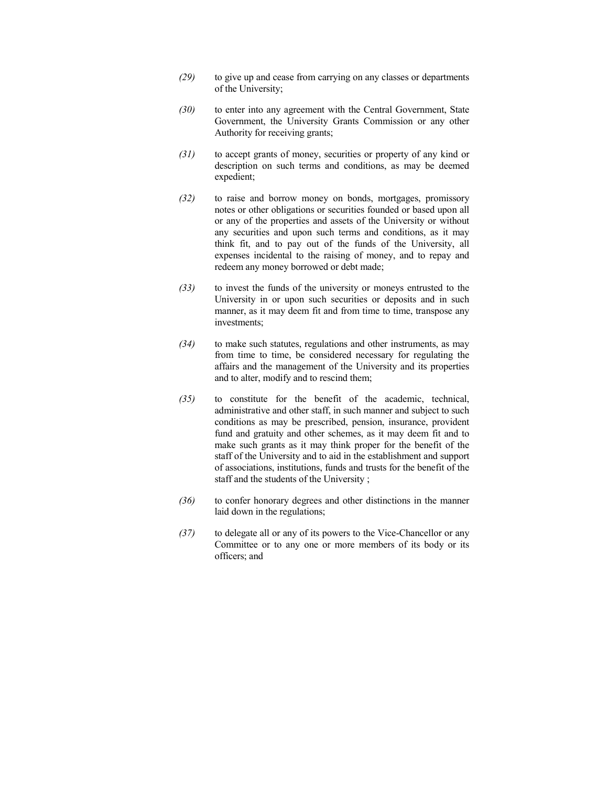- *(29)* to give up and cease from carrying on any classes or departments of the University;
- *(30)* to enter into any agreement with the Central Government, State Government, the University Grants Commission or any other Authority for receiving grants;
- *(31)* to accept grants of money, securities or property of any kind or description on such terms and conditions, as may be deemed expedient;
- *(32)* to raise and borrow money on bonds, mortgages, promissory notes or other obligations or securities founded or based upon all or any of the properties and assets of the University or without any securities and upon such terms and conditions, as it may think fit, and to pay out of the funds of the University, all expenses incidental to the raising of money, and to repay and redeem any money borrowed or debt made;
- *(33)* to invest the funds of the university or moneys entrusted to the University in or upon such securities or deposits and in such manner, as it may deem fit and from time to time, transpose any investments;
- *(34)* to make such statutes, regulations and other instruments, as may from time to time, be considered necessary for regulating the affairs and the management of the University and its properties and to alter, modify and to rescind them;
- *(35)* to constitute for the benefit of the academic, technical, administrative and other staff, in such manner and subject to such conditions as may be prescribed, pension, insurance, provident fund and gratuity and other schemes, as it may deem fit and to make such grants as it may think proper for the benefit of the staff of the University and to aid in the establishment and support of associations, institutions, funds and trusts for the benefit of the staff and the students of the University ;
- *(36)* to confer honorary degrees and other distinctions in the manner laid down in the regulations;
- *(37)* to delegate all or any of its powers to the Vice-Chancellor or any Committee or to any one or more members of its body or its officers; and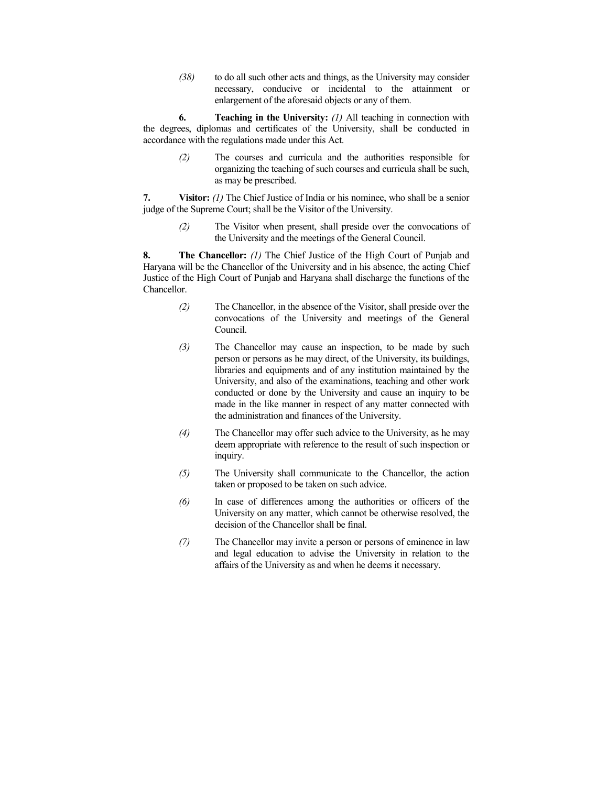*(38)* to do all such other acts and things, as the University may consider necessary, conducive or incidental to the attainment or enlargement of the aforesaid objects or any of them.

**6. Teaching in the University:** *(1)* All teaching in connection with the degrees, diplomas and certificates of the University, shall be conducted in accordance with the regulations made under this Act.

> *(2)* The courses and curricula and the authorities responsible for organizing the teaching of such courses and curricula shall be such, as may be prescribed.

**7. Visitor:** *(1)* The Chief Justice of India or his nominee, who shall be a senior judge of the Supreme Court; shall be the Visitor of the University.

> *(2)* The Visitor when present, shall preside over the convocations of the University and the meetings of the General Council.

**8. The Chancellor:** *(1)* The Chief Justice of the High Court of Punjab and Haryana will be the Chancellor of the University and in his absence, the acting Chief Justice of the High Court of Punjab and Haryana shall discharge the functions of the Chancellor.

- *(2)* The Chancellor, in the absence of the Visitor, shall preside over the convocations of the University and meetings of the General Council.
- *(3)* The Chancellor may cause an inspection, to be made by such person or persons as he may direct, of the University, its buildings, libraries and equipments and of any institution maintained by the University, and also of the examinations, teaching and other work conducted or done by the University and cause an inquiry to be made in the like manner in respect of any matter connected with the administration and finances of the University.
- *(4)* The Chancellor may offer such advice to the University, as he may deem appropriate with reference to the result of such inspection or inquiry.
- *(5)* The University shall communicate to the Chancellor, the action taken or proposed to be taken on such advice.
- *(6)* In case of differences among the authorities or officers of the University on any matter, which cannot be otherwise resolved, the decision of the Chancellor shall be final.
- *(7)* The Chancellor may invite a person or persons of eminence in law and legal education to advise the University in relation to the affairs of the University as and when he deems it necessary.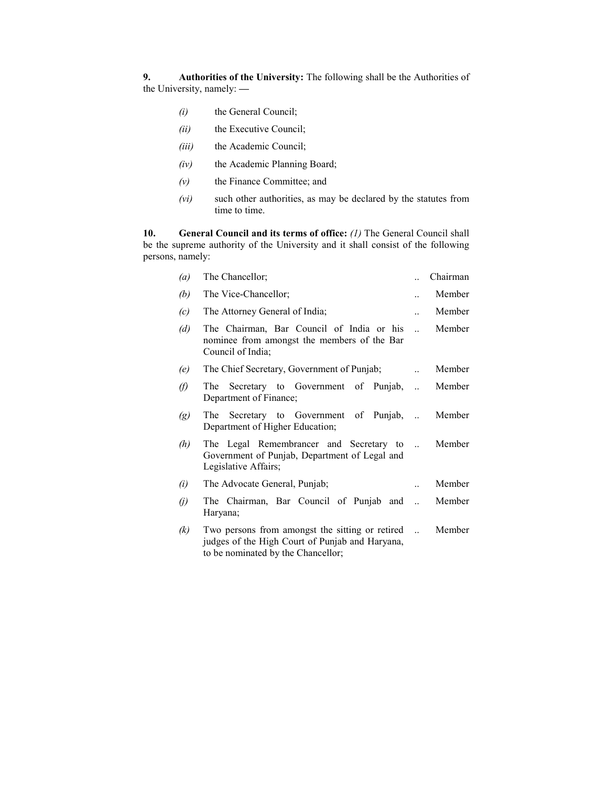**9. Authorities of the University:** The following shall be the Authorities of the University, namely: **—**

- *(i)* the General Council;
- *(ii)* the Executive Council;
- *(iii)* the Academic Council;
- *(iv)* the Academic Planning Board;
- *(v)* the Finance Committee; and
- *(vi)* such other authorities, as may be declared by the statutes from time to time.

**10. General Council and its terms of office:** *(1)* The General Council shall be the supreme authority of the University and it shall consist of the following persons, namely:

| $\left(a\right)$  | The Chancellor;                                                                                                                          |                | Chairman |
|-------------------|------------------------------------------------------------------------------------------------------------------------------------------|----------------|----------|
| (b)               | The Vice-Chancellor;                                                                                                                     |                | Member   |
| (c)               | The Attorney General of India;                                                                                                           |                | Member   |
| (d)               | The Chairman, Bar Council of India or his<br>nominee from amongst the members of the Bar<br>Council of India;                            | $\mathbb{R}^2$ | Member   |
| (e)               | The Chief Secretary, Government of Punjab;                                                                                               |                | Member   |
| O)                | The Secretary to Government of Punjab,<br>Department of Finance;                                                                         | $\ddotsc$      | Member   |
| $\left( g\right)$ | The Secretary to Government of Punjab,<br>Department of Higher Education;                                                                |                | Member   |
| (h)               | The Legal Remembrancer and Secretary to<br>Government of Punjab, Department of Legal and<br>Legislative Affairs;                         |                | Member   |
| (i)               | The Advocate General, Punjab;                                                                                                            |                | Member   |
| $\left( j\right)$ | The Chairman, Bar Council of Punjab and<br>Haryana;                                                                                      |                | Member   |
| (k)               | Two persons from amongst the sitting or retired<br>judges of the High Court of Punjab and Haryana,<br>to be nominated by the Chancellor; |                | Member   |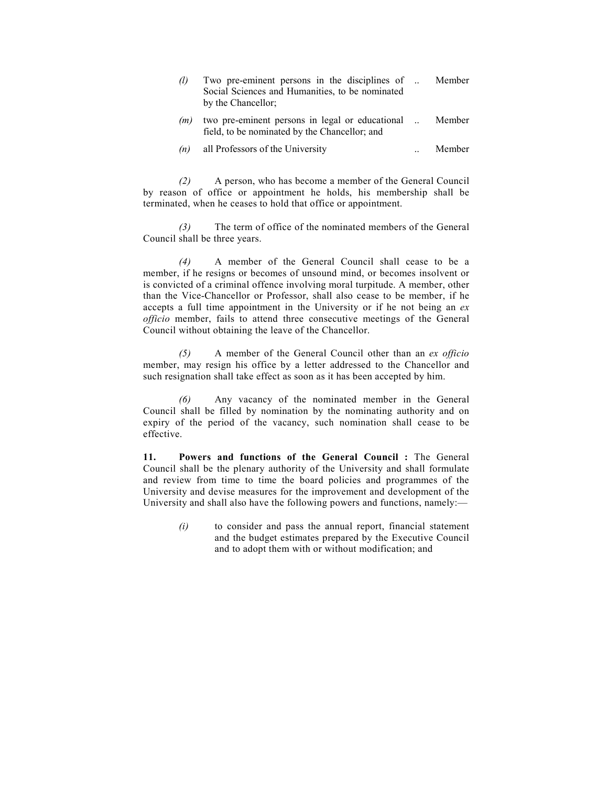| (1) | Two pre-eminent persons in the disciplines of<br>Social Sciences and Humanities, to be nominated<br>by the Chancellor: | Member |
|-----|------------------------------------------------------------------------------------------------------------------------|--------|
| (m) | two pre-eminent persons in legal or educational<br>field, to be nominated by the Chancellor; and                       | Member |
| (n) | all Professors of the University                                                                                       | Member |

*(2)* A person, who has become a member of the General Council by reason of office or appointment he holds, his membership shall be terminated, when he ceases to hold that office or appointment.

 *(3)* The term of office of the nominated members of the General Council shall be three years.

 *(4)* A member of the General Council shall cease to be a member, if he resigns or becomes of unsound mind, or becomes insolvent or is convicted of a criminal offence involving moral turpitude. A member, other than the Vice-Chancellor or Professor, shall also cease to be member, if he accepts a full time appointment in the University or if he not being an *ex officio* member, fails to attend three consecutive meetings of the General Council without obtaining the leave of the Chancellor.

 *(5)* A member of the General Council other than an *ex officio*  member, may resign his office by a letter addressed to the Chancellor and such resignation shall take effect as soon as it has been accepted by him.

 *(6)* Any vacancy of the nominated member in the General Council shall be filled by nomination by the nominating authority and on expiry of the period of the vacancy, such nomination shall cease to be effective.

**11. Powers and functions of the General Council :** The General Council shall be the plenary authority of the University and shall formulate and review from time to time the board policies and programmes of the University and devise measures for the improvement and development of the University and shall also have the following powers and functions, namely:—

> *(i)* to consider and pass the annual report, financial statement and the budget estimates prepared by the Executive Council and to adopt them with or without modification; and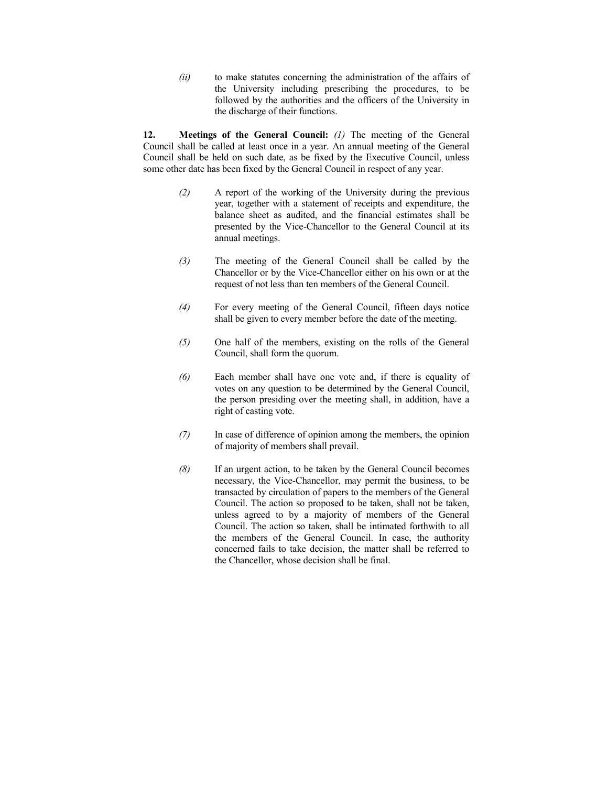*(ii)* to make statutes concerning the administration of the affairs of the University including prescribing the procedures, to be followed by the authorities and the officers of the University in the discharge of their functions.

**12. Meetings of the General Council:** *(1)* The meeting of the General Council shall be called at least once in a year. An annual meeting of the General Council shall be held on such date, as be fixed by the Executive Council, unless some other date has been fixed by the General Council in respect of any year.

- *(2)* A report of the working of the University during the previous year, together with a statement of receipts and expenditure, the balance sheet as audited, and the financial estimates shall be presented by the Vice-Chancellor to the General Council at its annual meetings.
- *(3)* The meeting of the General Council shall be called by the Chancellor or by the Vice-Chancellor either on his own or at the request of not less than ten members of the General Council.
- *(4)* For every meeting of the General Council, fifteen days notice shall be given to every member before the date of the meeting.
- *(5)* One half of the members, existing on the rolls of the General Council, shall form the quorum.
- *(6)* Each member shall have one vote and, if there is equality of votes on any question to be determined by the General Council, the person presiding over the meeting shall, in addition, have a right of casting vote.
- *(7)* In case of difference of opinion among the members, the opinion of majority of members shall prevail.
- *(8)* If an urgent action, to be taken by the General Council becomes necessary, the Vice-Chancellor, may permit the business, to be transacted by circulation of papers to the members of the General Council. The action so proposed to be taken, shall not be taken, unless agreed to by a majority of members of the General Council. The action so taken, shall be intimated forthwith to all the members of the General Council. In case, the authority concerned fails to take decision, the matter shall be referred to the Chancellor, whose decision shall be final.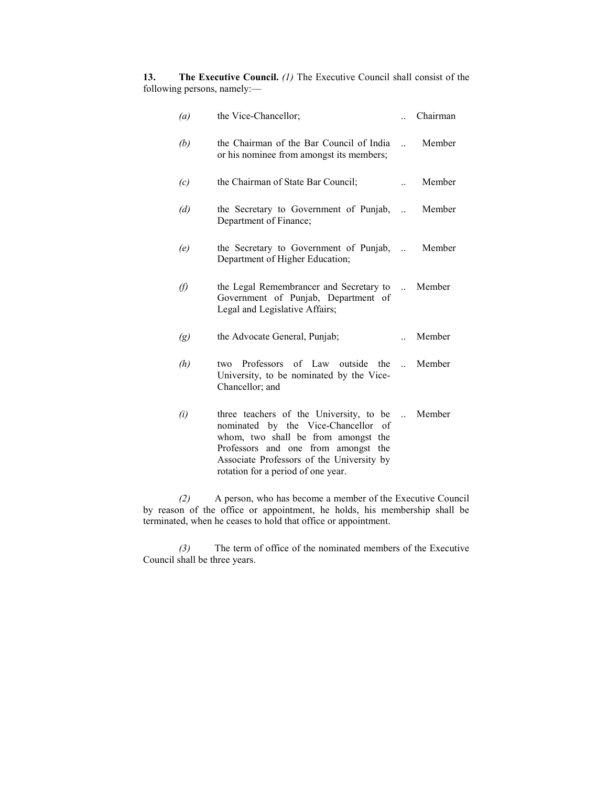**13.** The Executive Council. *(1)* The Executive Council shall consist of the following persons, namely:—

| (a) | the Vice-Chancellor;                                                                                                                                                                                                                            |                | Chairman |
|-----|-------------------------------------------------------------------------------------------------------------------------------------------------------------------------------------------------------------------------------------------------|----------------|----------|
| (b) | the Chairman of the Bar Council of India<br>or his nominee from amongst its members;                                                                                                                                                            | $\mathbb{R}^2$ | Member   |
| (c) | the Chairman of State Bar Council;                                                                                                                                                                                                              |                | Member   |
| (d) | the Secretary to Government of Punjab,<br>Department of Finance;                                                                                                                                                                                |                | Member   |
| (e) | the Secretary to Government of Punjab,  Member<br>Department of Higher Education;                                                                                                                                                               |                |          |
| (f) | the Legal Remembrancer and Secretary to<br>Government of Punjab, Department of<br>Legal and Legislative Affairs;                                                                                                                                |                | Member   |
| (g) | the Advocate General, Punjab;                                                                                                                                                                                                                   |                | Member   |
| (h) | two Professors of Law outside the<br>University, to be nominated by the Vice-<br>Chancellor; and                                                                                                                                                |                | Member   |
| (i) | three teachers of the University, to be<br>nominated by the Vice-Chancellor of<br>whom, two shall be from amongst the<br>Professors and one from amongst the<br>Associate Professors of the University by<br>rotation for a period of one year. | $\mathbf{r}$   | Member   |

*(2)* A person, who has become a member of the Executive Council by reason of the office or appointment, he holds, his membership shall be terminated, when he ceases to hold that office or appointment.

 *(3)* The term of office of the nominated members of the Executive Council shall be three years.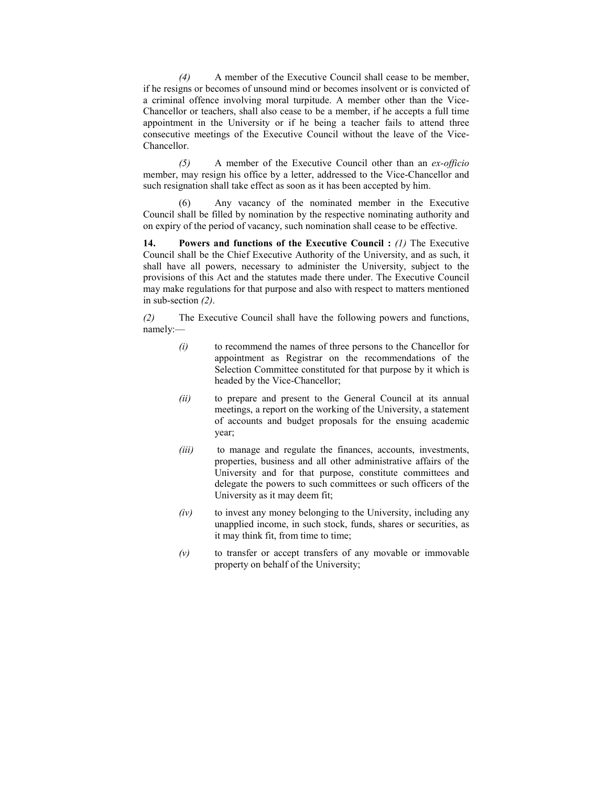*(4)* A member of the Executive Council shall cease to be member, if he resigns or becomes of unsound mind or becomes insolvent or is convicted of a criminal offence involving moral turpitude. A member other than the Vice-Chancellor or teachers, shall also cease to be a member, if he accepts a full time appointment in the University or if he being a teacher fails to attend three consecutive meetings of the Executive Council without the leave of the Vice-Chancellor.

 *(5)* A member of the Executive Council other than an *ex-officio* member, may resign his office by a letter, addressed to the Vice-Chancellor and such resignation shall take effect as soon as it has been accepted by him.

 (6) Any vacancy of the nominated member in the Executive Council shall be filled by nomination by the respective nominating authority and on expiry of the period of vacancy, such nomination shall cease to be effective.

**14. Powers and functions of the Executive Council : (1) The Executive** Council shall be the Chief Executive Authority of the University, and as such, it shall have all powers, necessary to administer the University, subject to the provisions of this Act and the statutes made there under. The Executive Council may make regulations for that purpose and also with respect to matters mentioned in sub-section *(2)*.

*(2)* The Executive Council shall have the following powers and functions, namely:—

- *(i)* to recommend the names of three persons to the Chancellor for appointment as Registrar on the recommendations of the Selection Committee constituted for that purpose by it which is headed by the Vice-Chancellor;
- *(ii)* to prepare and present to the General Council at its annual meetings, a report on the working of the University, a statement of accounts and budget proposals for the ensuing academic year;
- *(iii)* to manage and regulate the finances, accounts, investments, properties, business and all other administrative affairs of the University and for that purpose, constitute committees and delegate the powers to such committees or such officers of the University as it may deem fit;
- *(iv)* to invest any money belonging to the University, including any unapplied income, in such stock, funds, shares or securities, as it may think fit, from time to time;
- *(v)* to transfer or accept transfers of any movable or immovable property on behalf of the University;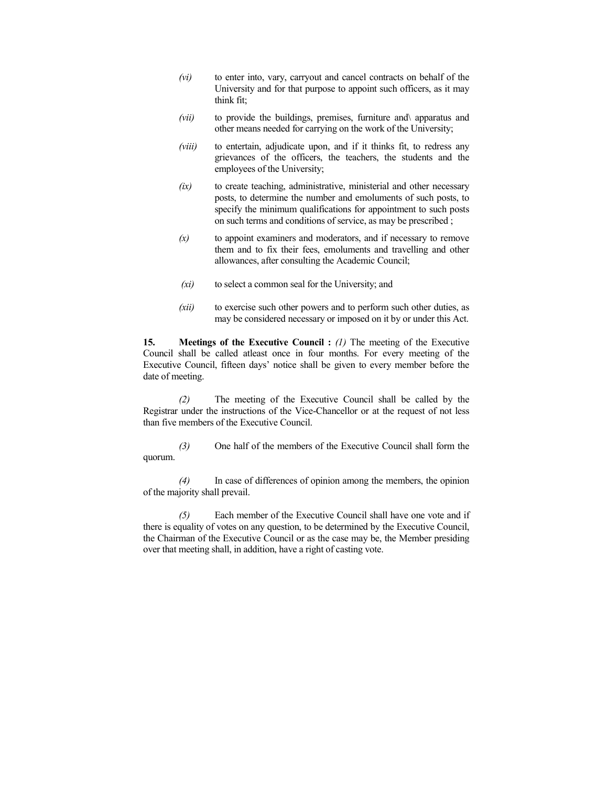- *(vi)* to enter into, vary, carryout and cancel contracts on behalf of the University and for that purpose to appoint such officers, as it may think fit;
- *(vii)* to provide the buildings, premises, furniture and\ apparatus and other means needed for carrying on the work of the University;
- *(viii)* to entertain, adjudicate upon, and if it thinks fit, to redress any grievances of the officers, the teachers, the students and the employees of the University;
- *(ix)* to create teaching, administrative, ministerial and other necessary posts, to determine the number and emoluments of such posts, to specify the minimum qualifications for appointment to such posts on such terms and conditions of service, as may be prescribed ;
- $(x)$  to appoint examiners and moderators, and if necessary to remove them and to fix their fees, emoluments and travelling and other allowances, after consulting the Academic Council;
- *(xi)* to select a common seal for the University; and
- *(xii)* to exercise such other powers and to perform such other duties, as may be considered necessary or imposed on it by or under this Act.

**15.** Meetings of the Executive Council : (1) The meeting of the Executive Council shall be called atleast once in four months. For every meeting of the Executive Council, fifteen days' notice shall be given to every member before the date of meeting.

 *(2)* The meeting of the Executive Council shall be called by the Registrar under the instructions of the Vice-Chancellor or at the request of not less than five members of the Executive Council.

 *(3)* One half of the members of the Executive Council shall form the quorum.

 *(4)* In case of differences of opinion among the members, the opinion of the majority shall prevail.

 *(5)* Each member of the Executive Council shall have one vote and if there is equality of votes on any question, to be determined by the Executive Council, the Chairman of the Executive Council or as the case may be, the Member presiding over that meeting shall, in addition, have a right of casting vote.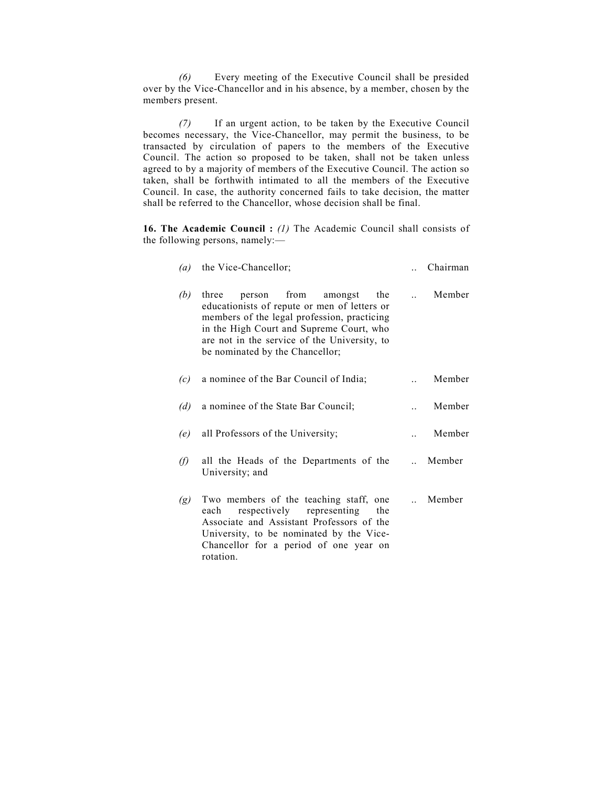*(6)* Every meeting of the Executive Council shall be presided over by the Vice-Chancellor and in his absence, by a member, chosen by the members present.

 *(7)* If an urgent action, to be taken by the Executive Council becomes necessary, the Vice-Chancellor, may permit the business, to be transacted by circulation of papers to the members of the Executive Council. The action so proposed to be taken, shall not be taken unless agreed to by a majority of members of the Executive Council. The action so taken, shall be forthwith intimated to all the members of the Executive Council. In case, the authority concerned fails to take decision, the matter shall be referred to the Chancellor, whose decision shall be final.

**16. The Academic Council :** *(1)* The Academic Council shall consists of the following persons, namely:—

| $\left(a\right)$ | the Vice-Chancellor;                                                                                                                                                                                                                                                 |        | Chairman |
|------------------|----------------------------------------------------------------------------------------------------------------------------------------------------------------------------------------------------------------------------------------------------------------------|--------|----------|
| (b)              | three<br>person from<br>the<br>amongst<br>educationists of repute or men of letters or<br>members of the legal profession, practicing<br>in the High Court and Supreme Court, who<br>are not in the service of the University, to<br>be nominated by the Chancellor; |        | Member   |
| (c)              | a nominee of the Bar Council of India;                                                                                                                                                                                                                               |        | Member   |
| (d)              | a nominee of the State Bar Council;                                                                                                                                                                                                                                  |        | Member   |
| (e)              | all Professors of the University;                                                                                                                                                                                                                                    |        | Member   |
| G)               | all the Heads of the Departments of the<br>University; and                                                                                                                                                                                                           |        | Member   |
| (g)              | Two members of the teaching staff, one<br>respectively representing<br>each<br>the<br>Associate and Assistant Professors of the<br>University, to be nominated by the Vice-<br>Chancellor for a period of one year on                                                | $\sim$ | Member   |

rotation.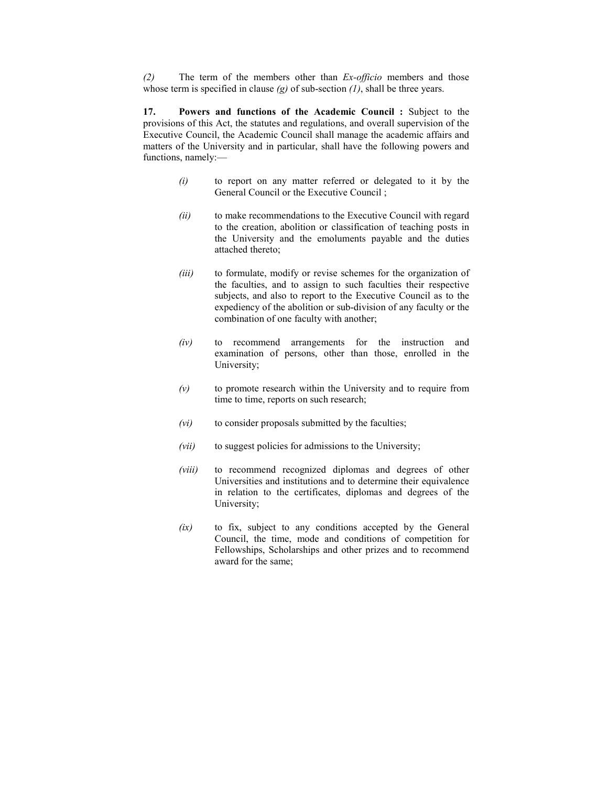*(2)* The term of the members other than *Ex-officio* members and those whose term is specified in clause *(g)* of sub-section *(1)*, shall be three years.

**17. Powers and functions of the Academic Council :** Subject to the provisions of this Act, the statutes and regulations, and overall supervision of the Executive Council, the Academic Council shall manage the academic affairs and matters of the University and in particular, shall have the following powers and functions, namely:—

- *(i)* to report on any matter referred or delegated to it by the General Council or the Executive Council ;
- *(ii)* to make recommendations to the Executive Council with regard to the creation, abolition or classification of teaching posts in the University and the emoluments payable and the duties attached thereto;
- *(iii)* to formulate, modify or revise schemes for the organization of the faculties, and to assign to such faculties their respective subjects, and also to report to the Executive Council as to the expediency of the abolition or sub-division of any faculty or the combination of one faculty with another;
- *(iv)* to recommend arrangements for the instruction and examination of persons, other than those, enrolled in the University;
- *(v)* to promote research within the University and to require from time to time, reports on such research;
- *(vi)* to consider proposals submitted by the faculties;
- *(vii)* to suggest policies for admissions to the University;
- *(viii)* to recommend recognized diplomas and degrees of other Universities and institutions and to determine their equivalence in relation to the certificates, diplomas and degrees of the University;
- *(ix)* to fix, subject to any conditions accepted by the General Council, the time, mode and conditions of competition for Fellowships, Scholarships and other prizes and to recommend award for the same;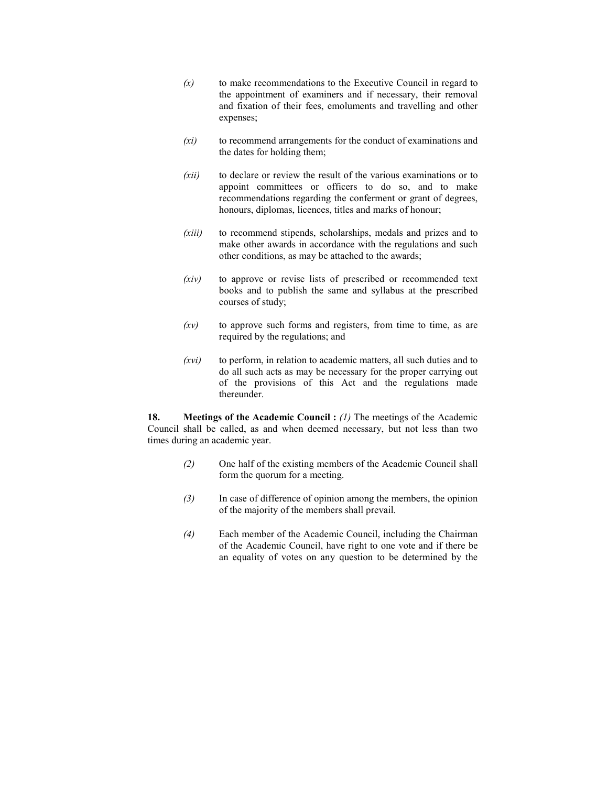- *(x)* to make recommendations to the Executive Council in regard to the appointment of examiners and if necessary, their removal and fixation of their fees, emoluments and travelling and other expenses;
- *(xi)* to recommend arrangements for the conduct of examinations and the dates for holding them;
- *(xii)* to declare or review the result of the various examinations or to appoint committees or officers to do so, and to make recommendations regarding the conferment or grant of degrees, honours, diplomas, licences, titles and marks of honour;
- *(xiii)* to recommend stipends, scholarships, medals and prizes and to make other awards in accordance with the regulations and such other conditions, as may be attached to the awards;
- *(xiv)* to approve or revise lists of prescribed or recommended text books and to publish the same and syllabus at the prescribed courses of study;
- *(xv)* to approve such forms and registers, from time to time, as are required by the regulations; and
- *(xvi)* to perform, in relation to academic matters, all such duties and to do all such acts as may be necessary for the proper carrying out of the provisions of this Act and the regulations made thereunder.

**18. Meetings of the Academic Council :** *(1)* The meetings of the Academic Council shall be called, as and when deemed necessary, but not less than two times during an academic year.

- *(2)* One half of the existing members of the Academic Council shall form the quorum for a meeting.
- *(3)* In case of difference of opinion among the members, the opinion of the majority of the members shall prevail.
- *(4)* Each member of the Academic Council, including the Chairman of the Academic Council, have right to one vote and if there be an equality of votes on any question to be determined by the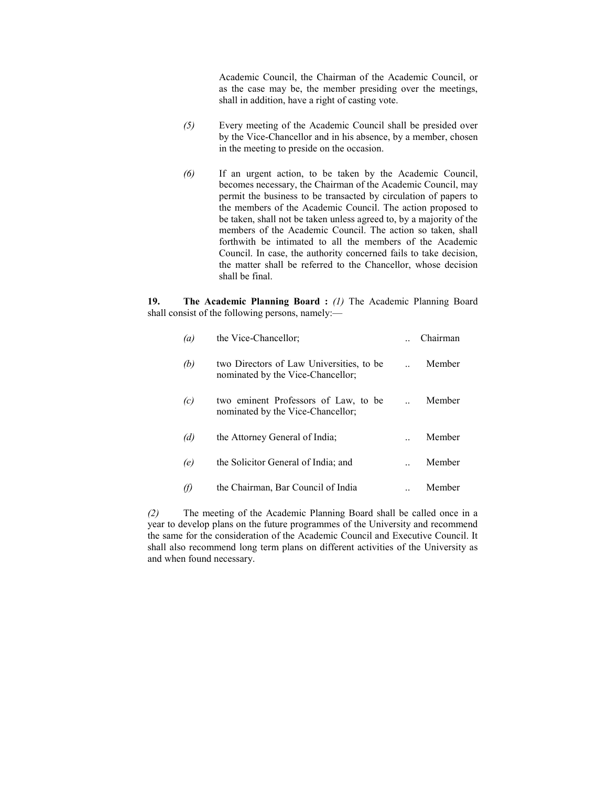Academic Council, the Chairman of the Academic Council, or as the case may be, the member presiding over the meetings, shall in addition, have a right of casting vote.

- *(5)* Every meeting of the Academic Council shall be presided over by the Vice-Chancellor and in his absence, by a member, chosen in the meeting to preside on the occasion.
- *(6)* If an urgent action, to be taken by the Academic Council, becomes necessary, the Chairman of the Academic Council, may permit the business to be transacted by circulation of papers to the members of the Academic Council. The action proposed to be taken, shall not be taken unless agreed to, by a majority of the members of the Academic Council. The action so taken, shall forthwith be intimated to all the members of the Academic Council. In case, the authority concerned fails to take decision, the matter shall be referred to the Chancellor, whose decision shall be final.

**19. The Academic Planning Board :** *(1)* The Academic Planning Board shall consist of the following persons, namely:—

| $\left(a\right)$ | the Vice-Chancellor:                                                          | Chairman |
|------------------|-------------------------------------------------------------------------------|----------|
| (b)              | two Directors of Law Universities, to be<br>nominated by the Vice-Chancellor; | Member   |
| (c)              | two eminent Professors of Law, to be<br>nominated by the Vice-Chancellor;     | Member   |
| (d)              | the Attorney General of India;                                                | Member   |
| (e)              | the Solicitor General of India; and                                           | Member   |
|                  | the Chairman, Bar Council of India                                            | Member   |

*(2)* The meeting of the Academic Planning Board shall be called once in a year to develop plans on the future programmes of the University and recommend the same for the consideration of the Academic Council and Executive Council. It shall also recommend long term plans on different activities of the University as and when found necessary.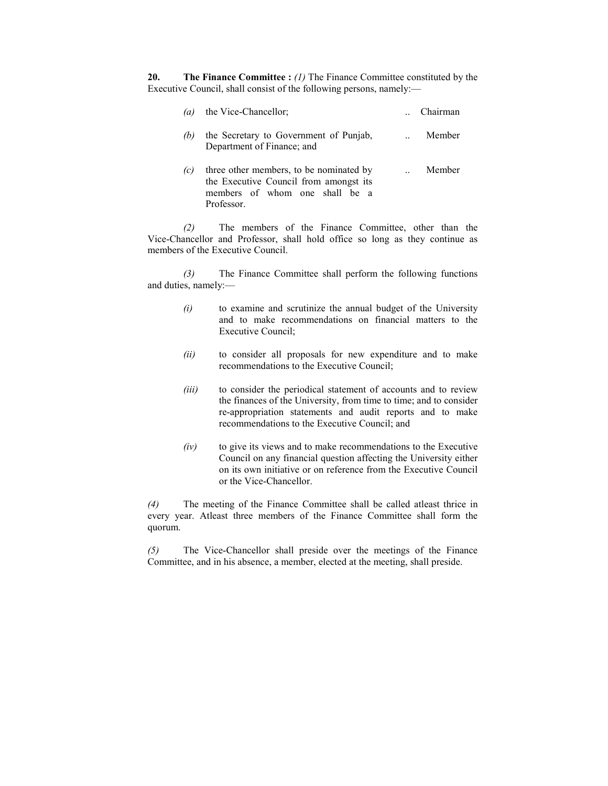**20.** The Finance Committee : *(1)* The Finance Committee constituted by the Executive Council, shall consist of the following persons, namely:—

| (a) | the Vice-Chancellor;                                                                                                              | Chairman |
|-----|-----------------------------------------------------------------------------------------------------------------------------------|----------|
| (b) | the Secretary to Government of Punjab,<br>Department of Finance; and                                                              | Member   |
| (c) | three other members, to be nominated by<br>the Executive Council from amongst its<br>members of whom one shall be a<br>Professor. | Member   |

 *(2)* The members of the Finance Committee, other than the Vice-Chancellor and Professor, shall hold office so long as they continue as members of the Executive Council.

 *(3)* The Finance Committee shall perform the following functions and duties, namely:—

- *(i)* to examine and scrutinize the annual budget of the University and to make recommendations on financial matters to the Executive Council;
- *(ii)* to consider all proposals for new expenditure and to make recommendations to the Executive Council;
- *(iii)* to consider the periodical statement of accounts and to review the finances of the University, from time to time; and to consider re-appropriation statements and audit reports and to make recommendations to the Executive Council; and
- *(iv)* to give its views and to make recommendations to the Executive Council on any financial question affecting the University either on its own initiative or on reference from the Executive Council or the Vice-Chancellor.

*(4)* The meeting of the Finance Committee shall be called atleast thrice in every year. Atleast three members of the Finance Committee shall form the quorum.

*(5)* The Vice-Chancellor shall preside over the meetings of the Finance Committee, and in his absence, a member, elected at the meeting, shall preside.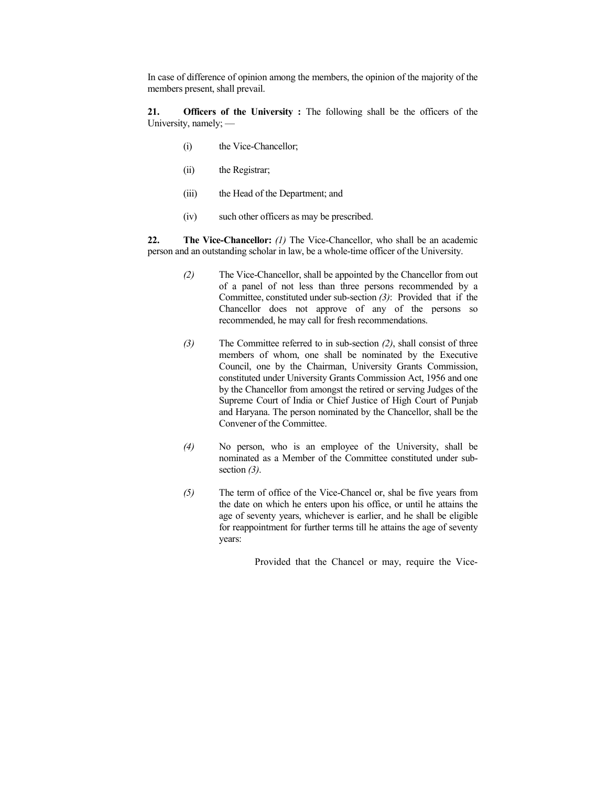In case of difference of opinion among the members, the opinion of the majority of the members present, shall prevail.

**21. Officers of the University :** The following shall be the officers of the University, namely; —

- (i) the Vice-Chancellor;
- (ii) the Registrar;
- (iii) the Head of the Department; and
- (iv) such other officers as may be prescribed.

**22.** The Vice-Chancellor: *(1)* The Vice-Chancellor, who shall be an academic person and an outstanding scholar in law, be a whole-time officer of the University.

- *(2)* The Vice-Chancellor, shall be appointed by the Chancellor from out of a panel of not less than three persons recommended by a Committee, constituted under sub-section *(3)*: Provided that if the Chancellor does not approve of any of the persons so recommended, he may call for fresh recommendations.
- *(3)* The Committee referred to in sub-section *(2)*, shall consist of three members of whom, one shall be nominated by the Executive Council, one by the Chairman, University Grants Commission, constituted under University Grants Commission Act, 1956 and one by the Chancellor from amongst the retired or serving Judges of the Supreme Court of India or Chief Justice of High Court of Punjab and Haryana. The person nominated by the Chancellor, shall be the Convener of the Committee.
- *(4)* No person, who is an employee of the University, shall be nominated as a Member of the Committee constituted under subsection *(3)*.
- *(5)* The term of office of the Vice-Chancel or, shal be five years from the date on which he enters upon his office, or until he attains the age of seventy years, whichever is earlier, and he shall be eligible for reappointment for further terms till he attains the age of seventy years:

Provided that the Chancel or may, require the Vice-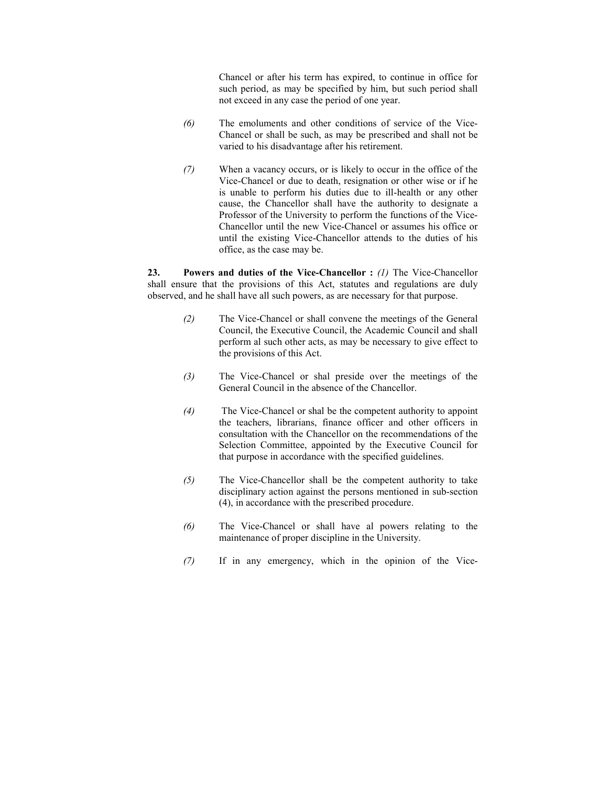Chancel or after his term has expired, to continue in office for such period, as may be specified by him, but such period shall not exceed in any case the period of one year.

- *(6)* The emoluments and other conditions of service of the Vice-Chancel or shall be such, as may be prescribed and shall not be varied to his disadvantage after his retirement.
- *(7)* When a vacancy occurs, or is likely to occur in the office of the Vice-Chancel or due to death, resignation or other wise or if he is unable to perform his duties due to ill-health or any other cause, the Chancellor shall have the authority to designate a Professor of the University to perform the functions of the Vice-Chancellor until the new Vice-Chancel or assumes his office or until the existing Vice-Chancellor attends to the duties of his office, as the case may be.

**23. Powers and duties of the Vice-Chancellor :** *(1)* The Vice-Chancellor shall ensure that the provisions of this Act, statutes and regulations are duly observed, and he shall have all such powers, as are necessary for that purpose.

- *(2)* The Vice-Chancel or shall convene the meetings of the General Council, the Executive Council, the Academic Council and shall perform al such other acts, as may be necessary to give effect to the provisions of this Act.
- *(3)* The Vice-Chancel or shal preside over the meetings of the General Council in the absence of the Chancellor.
- *(4)* The Vice-Chancel or shal be the competent authority to appoint the teachers, librarians, finance officer and other officers in consultation with the Chancellor on the recommendations of the Selection Committee, appointed by the Executive Council for that purpose in accordance with the specified guidelines.
- *(5)* The Vice-Chancellor shall be the competent authority to take disciplinary action against the persons mentioned in sub-section (4), in accordance with the prescribed procedure.
- *(6)* The Vice-Chancel or shall have al powers relating to the maintenance of proper discipline in the University.
- *(7)* If in any emergency, which in the opinion of the Vice-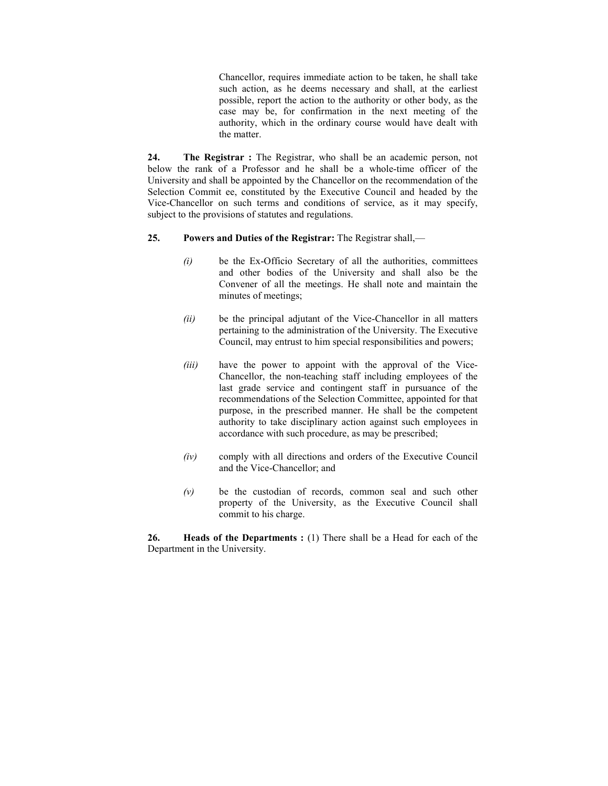Chancellor, requires immediate action to be taken, he shall take such action, as he deems necessary and shall, at the earliest possible, report the action to the authority or other body, as the case may be, for confirmation in the next meeting of the authority, which in the ordinary course would have dealt with the matter.

**24. The Registrar :** The Registrar, who shall be an academic person, not below the rank of a Professor and he shall be a whole-time officer of the University and shall be appointed by the Chancellor on the recommendation of the Selection Commit ee, constituted by the Executive Council and headed by the Vice-Chancellor on such terms and conditions of service, as it may specify, subject to the provisions of statutes and regulations.

### **25. Powers and Duties of the Registrar:** The Registrar shall,—

- *(i)* be the Ex-Officio Secretary of all the authorities, committees and other bodies of the University and shall also be the Convener of all the meetings. He shall note and maintain the minutes of meetings;
- *(ii)* be the principal adjutant of the Vice-Chancellor in all matters pertaining to the administration of the University. The Executive Council, may entrust to him special responsibilities and powers;
- *(iii)* have the power to appoint with the approval of the Vice-Chancellor, the non-teaching staff including employees of the last grade service and contingent staff in pursuance of the recommendations of the Selection Committee, appointed for that purpose, in the prescribed manner. He shall be the competent authority to take disciplinary action against such employees in accordance with such procedure, as may be prescribed;
- *(iv)* comply with all directions and orders of the Executive Council and the Vice-Chancellor; and
- *(v)* be the custodian of records, common seal and such other property of the University, as the Executive Council shall commit to his charge.

**26. Heads of the Departments :** (1) There shall be a Head for each of the Department in the University.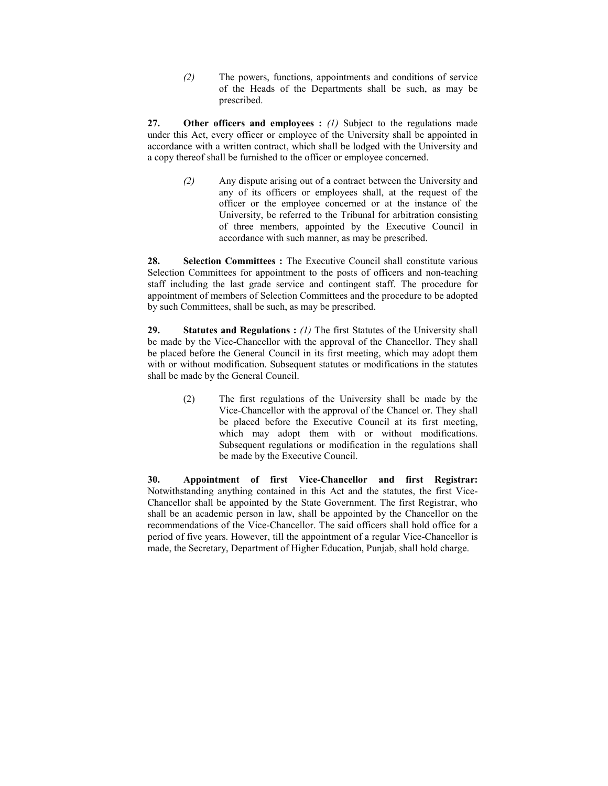*(2)* The powers, functions, appointments and conditions of service of the Heads of the Departments shall be such, as may be prescribed.

**27. Other officers and employees :** *(1)* Subject to the regulations made under this Act, every officer or employee of the University shall be appointed in accordance with a written contract, which shall be lodged with the University and a copy thereof shall be furnished to the officer or employee concerned.

> *(2)* Any dispute arising out of a contract between the University and any of its officers or employees shall, at the request of the officer or the employee concerned or at the instance of the University, be referred to the Tribunal for arbitration consisting of three members, appointed by the Executive Council in accordance with such manner, as may be prescribed.

28. Selection Committees : The Executive Council shall constitute various Selection Committees for appointment to the posts of officers and non-teaching staff including the last grade service and contingent staff. The procedure for appointment of members of Selection Committees and the procedure to be adopted by such Committees, shall be such, as may be prescribed.

**29.** Statutes and Regulations : *(1)* The first Statutes of the University shall be made by the Vice-Chancellor with the approval of the Chancellor. They shall be placed before the General Council in its first meeting, which may adopt them with or without modification. Subsequent statutes or modifications in the statutes shall be made by the General Council.

> (2) The first regulations of the University shall be made by the Vice-Chancellor with the approval of the Chancel or. They shall be placed before the Executive Council at its first meeting, which may adopt them with or without modifications. Subsequent regulations or modification in the regulations shall be made by the Executive Council.

**30. Appointment of first Vice-Chancellor and first Registrar:**  Notwithstanding anything contained in this Act and the statutes, the first Vice-Chancellor shall be appointed by the State Government. The first Registrar, who shall be an academic person in law, shall be appointed by the Chancellor on the recommendations of the Vice-Chancellor. The said officers shall hold office for a period of five years. However, till the appointment of a regular Vice-Chancellor is made, the Secretary, Department of Higher Education, Punjab, shall hold charge.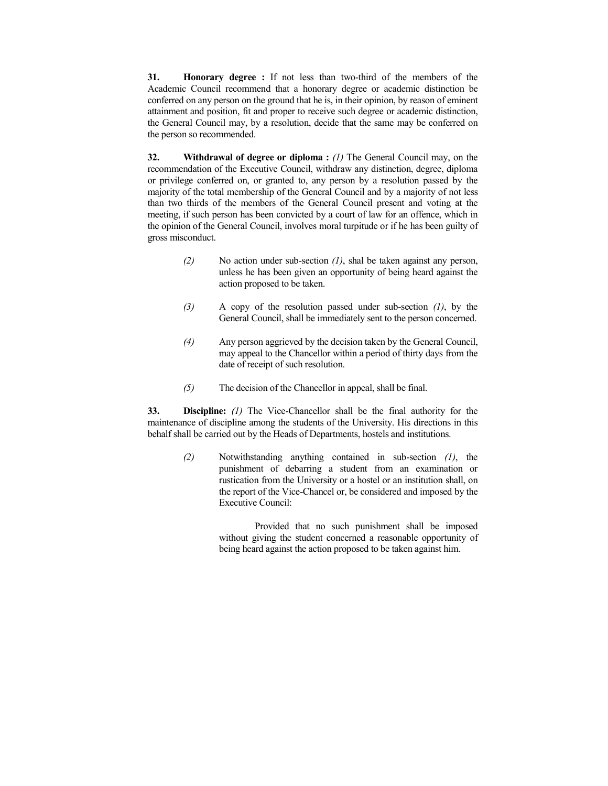**31. Honorary degree :** If not less than two-third of the members of the Academic Council recommend that a honorary degree or academic distinction be conferred on any person on the ground that he is, in their opinion, by reason of eminent attainment and position, fit and proper to receive such degree or academic distinction, the General Council may, by a resolution, decide that the same may be conferred on the person so recommended.

**32.** Withdrawal of degree or diploma : *(1)* The General Council may, on the recommendation of the Executive Council, withdraw any distinction, degree, diploma or privilege conferred on, or granted to, any person by a resolution passed by the majority of the total membership of the General Council and by a majority of not less than two thirds of the members of the General Council present and voting at the meeting, if such person has been convicted by a court of law for an offence, which in the opinion of the General Council, involves moral turpitude or if he has been guilty of gross misconduct.

- *(2)* No action under sub-section *(1)*, shal be taken against any person, unless he has been given an opportunity of being heard against the action proposed to be taken.
- *(3)* A copy of the resolution passed under sub-section *(1)*, by the General Council, shall be immediately sent to the person concerned.
- *(4)* Any person aggrieved by the decision taken by the General Council, may appeal to the Chancellor within a period of thirty days from the date of receipt of such resolution.
- *(5)* The decision of the Chancellor in appeal, shall be final.

**33. Discipline:** *(1)* The Vice-Chancellor shall be the final authority for the maintenance of discipline among the students of the University. His directions in this behalf shall be carried out by the Heads of Departments, hostels and institutions.

> *(2)* Notwithstanding anything contained in sub-section *(1)*, the punishment of debarring a student from an examination or rustication from the University or a hostel or an institution shall, on the report of the Vice-Chancel or, be considered and imposed by the Executive Council:

> > Provided that no such punishment shall be imposed without giving the student concerned a reasonable opportunity of being heard against the action proposed to be taken against him.